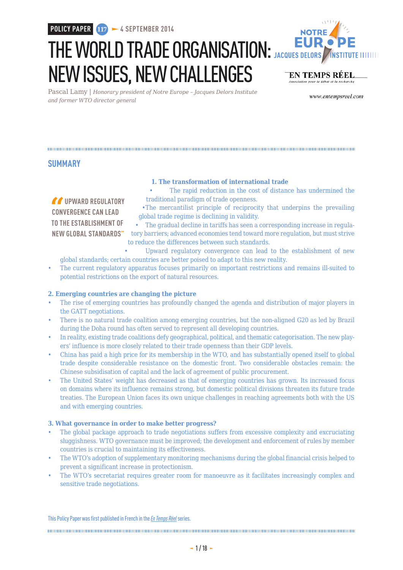**POLICY PAPER 117 • 4 SEPTEMBER 2014** 



# THE WORLD TRADE ORGANISATION: JACQUES DELORS NEW ISSUES, NEW CHALLENGES EN TEMPS RÉEL

Pascal Lamy | *Honorary president of Notre Europe – Jacques Delors Institute and former WTO director general*

www.entempsreel.com

## **SUMMARY**

## **1. The transformation of international trade**

The rapid reduction in the cost of distance has undermined the traditional paradigm of trade openness.

*COLLEGIVARD REGULATORY* **CONVERGENCE CAN LEAD TO THE ESTABLISHMENT OF NEW GLOBAL STANDARDS"**

•The mercantilist principle of reciprocity that underpins the prevailing global trade regime is declining in validity.

• The gradual decline in tariffs has seen a corresponding increase in regulatory barriers; advanced economies tend toward more regulation, but must strive to reduce the differences between such standards.

Upward regulatory convergence can lead to the establishment of new global standards; certain countries are better poised to adapt to this new reality.

• The current regulatory apparatus focuses primarily on important restrictions and remains ill-suited to potential restrictions on the export of natural resources.

#### **2. Emerging countries are changing the picture**

- The rise of emerging countries has profoundly changed the agenda and distribution of major players in the GATT negotiations.
- There is no natural trade coalition among emerging countries, but the non-aligned G20 as led by Brazil during the Doha round has often served to represent all developing countries.
- In reality, existing trade coalitions defy geographical, political, and thematic categorisation. The new players' influence is more closely related to their trade openness than their GDP levels.
- China has paid a high price for its membership in the WTO, and has substantially opened itself to global trade despite considerable resistance on the domestic front. Two considerable obstacles remain: the Chinese subsidisation of capital and the lack of agreement of public procurement.
- The United States' weight has decreased as that of emerging countries has grown. Its increased focus on domains where its influence remains strong, but domestic political divisions threaten its future trade treaties. The European Union faces its own unique challenges in reaching agreements both with the US and with emerging countries.

#### **3. What governance in order to make better progress?**

- The global package approach to trade negotiations suffers from excessive complexity and excruciating sluggishness. WTO governance must be improved; the development and enforcement of rules by member countries is crucial to maintaining its effectiveness.
- The WTO's adoption of supplementary monitoring mechanisms during the global financial crisis helped to prevent a significant increase in protectionism.
- The WTO's secretariat requires greater room for manoeuvre as it facilitates increasingly complex and sensitive trade negotiations.

This Policy Paper was first published in French in the *[En Temps Réel](http://entempsreel.com/wp-content/uploads/2014/07/Pascal-Lamy-En-temps-r%C3%A9el.pdf)* series.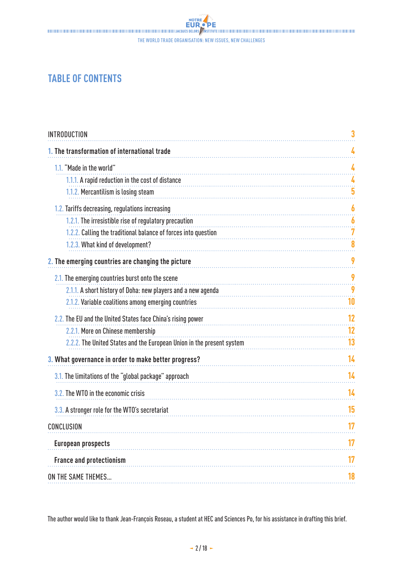THE WORLD TRADE ORGANISATION: NEW ISSUES, NEW CHALLENGES

# **TABLE OF CONTENTS**

| <b>INTRODUCTION</b>                                                   | 3  |
|-----------------------------------------------------------------------|----|
| 1. The transformation of international trade                          |    |
| 1.1. "Made in the world"                                              |    |
| 1.1.1. A rapid reduction in the cost of distance                      |    |
| 1.1.2. Mercantilism is losing steam                                   | 5  |
| 1.2. Tariffs decreasing, regulations increasing                       | 6  |
| 1.2.1. The irresistible rise of regulatory precaution                 |    |
| 1.2.2. Calling the traditional balance of forces into question        | 7  |
| 1.2.3. What kind of development?                                      |    |
| 2. The emerging countries are changing the picture                    | 9  |
| 2.1. The emerging countries burst onto the scene                      | 9  |
| 2.1.1. A short history of Doha: new players and a new agenda          | 9  |
| 2.1.2. Variable coalitions among emerging countries                   | 10 |
| 2.2. The EU and the United States face China's rising power           | 12 |
| 2.2.1. More on Chinese membership                                     | 12 |
| 2.2.2. The United States and the European Union in the present system | 13 |
| 3. What governance in order to make better progress?                  | 14 |
| 3.1. The limitations of the "global package" approach                 | 14 |
| 3.2. The WTO in the economic crisis                                   | 14 |
| 3.3. A stronger role for the WTO's secretariat                        | 15 |
| CONCLUSION                                                            | 17 |
| <b>European prospects</b>                                             |    |
| <b>France and protectionism</b>                                       | 17 |
| ON THE SAME THEMES                                                    | 18 |

The author would like to thank Jean-François Roseau, a student at HEC and Sciences Po, for his assistance in drafting this brief.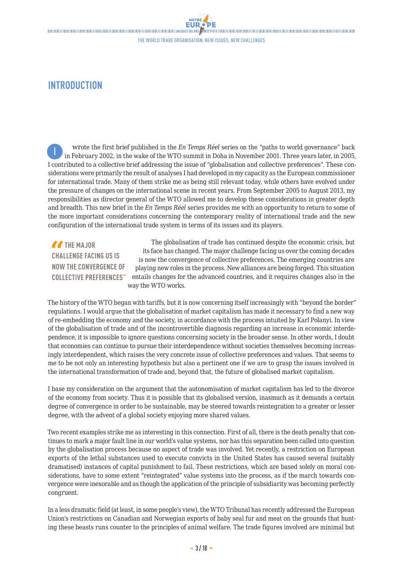# <span id="page-2-0"></span>**INTRODUCTION**

wrote the first brief published in the *En Temps Réel* series on the "paths to world governance" back in February 2002, in the wake of the WTO summit in Doha in November 2001. Three years later, in 2005, I contributed to a collective brief addressing the issue of "globalisation and collective preferences". These considerations were primarily the result of analyses I had developed in my capacity as the European commissioner for international trade. Many of them strike me as being still relevant today, while others have evolved under the pressure of changes on the international scene in recent years. From September 2005 to August 2013, my responsibilities as director general of the WTO allowed me to develop these considerations in greater depth and breadth. This new brief in the *En Temps Réel* series provides me with an opportunity to return to some of the more important considerations concerning the contemporary reality of international trade and the new configuration of the international trade system in terms of its issues and its players. I

**THE MAJOR CHALLENGE FACING US IS NOW THE CONVERGENCE OF COLLECTIVE PREFERENCES"**

The globalisation of trade has continued despite the economic crisis, but its face has changed. The major challenge facing us over the coming decades is now the convergence of collective preferences. The emerging countries are playing new roles in the process. New alliances are being forged. This situation entails changes for the advanced countries, and it requires changes also in the way the WTO works.

The history of the WTO began with tariffs, but it is now concerning itself increasingly with "beyond the border" regulations. I would argue that the globalisation of market capitalism has made it necessary to find a new way of re-embedding the economy and the society, in accordance with the process intuited by Karl Polanyi. In view of the globalisation of trade and of the incontrovertible diagnosis regarding an increase in economic interdependence, it is impossible to ignore questions concerning society in the broader sense. In other words, I doubt that economies can continue to pursue their interdependence without societies themselves becoming increasingly interdependent, which raises the very concrete issue of collective preferences and values. That seems to me to be not only an interesting hypothesis but also a pertinent one if we are to grasp the issues involved in the international transformation of trade and, beyond that, the future of globalised market capitalism.

I base my consideration on the argument that the autonomisation of market capitalism has led to the divorce of the economy from society. Thus it is possible that its globalised version, inasmuch as it demands a certain degree of convergence in order to be sustainable, may be steered towards reintegration to a greater or lesser degree, with the advent of a global society enjoying more shared values.

Two recent examples strike me as interesting in this connection. First of all, there is the death penalty that continues to mark a major fault line in our world's value systems, nor has this separation been called into question by the globalisation process because no aspect of trade was involved. Yet recently, a restriction on European exports of the lethal substances used to execute convicts in the United States has caused several (suitably dramatised) instances of capital punishment to fail. These restrictions, which are based solely on moral considerations, have to some extent "reintegrated" value systems into the process, as if the march towards convergence were inexorable and as though the application of the principle of subsidiarity was becoming perfectly congruent.

In a less dramatic field (at least, in some people's view), the WTO Tribunal has recently addressed the European Union's restrictions on Canadian and Norwegian exports of baby seal fur and meat on the grounds that hunting these beasts runs counter to the principles of animal welfare. The trade figures involved are minimal but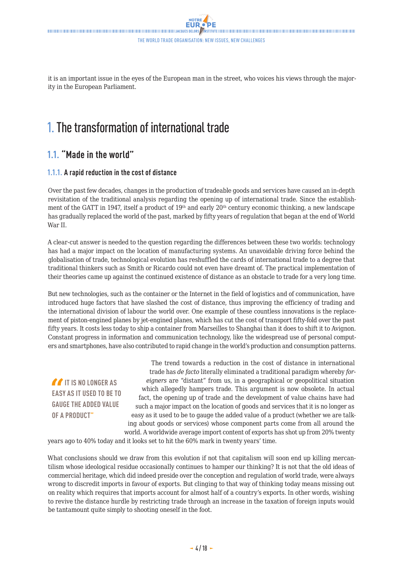<span id="page-3-0"></span>it is an important issue in the eyes of the European man in the street, who voices his views through the majority in the European Parliament.

# 1. The transformation of international trade

## **1.1. "Made in the world"**

### **1.1.1. A rapid reduction in the cost of distance**

Over the past few decades, changes in the production of tradeable goods and services have caused an in-depth revisitation of the traditional analysis regarding the opening up of international trade. Since the establishment of the GATT in 1947, itself a product of 19th and early 20th century economic thinking, a new landscape has gradually replaced the world of the past, marked by fifty years of regulation that began at the end of World War II.

A clear-cut answer is needed to the question regarding the differences between these two worlds: technology has had a major impact on the location of manufacturing systems. An unavoidable driving force behind the globalisation of trade, technological evolution has reshuffled the cards of international trade to a degree that traditional thinkers such as Smith or Ricardo could not even have dreamt of. The practical implementation of their theories came up against the continued existence of distance as an obstacle to trade for a very long time.

But new technologies, such as the container or the Internet in the field of logistics and of communication, have introduced huge factors that have slashed the cost of distance, thus improving the efficiency of trading and the international division of labour the world over. One example of these countless innovations is the replacement of piston-engined planes by jet-engined planes, which has cut the cost of transport fifty-fold over the past fifty years. It costs less today to ship a container from Marseilles to Shanghai than it does to shift it to Avignon. Constant progress in information and communication technology, like the widespread use of personal computers and smartphones, have also contributed to rapid change in the world's production and consumption patterns.

*IT IS NO LONGER AS* **EASY AS IT USED TO BE TO GAUGE THE ADDED VALUE OF A PRODUCT"**

The trend towards a reduction in the cost of distance in international trade has *de facto* literally eliminated a traditional paradigm whereby *foreigners* are "distant" from us, in a geographical or geopolitical situation which allegedly hampers trade. This argument is now obsolete. In actual fact, the opening up of trade and the development of value chains have had such a major impact on the location of goods and services that it is no longer as easy as it used to be to gauge the added value of a product (whether we are talking about goods or services) whose component parts come from all around the world. A worldwide average import content of exports has shot up from 20% twenty

years ago to 40% today and it looks set to hit the 60% mark in twenty years' time.

What conclusions should we draw from this evolution if not that capitalism will soon end up killing mercantilism whose ideological residue occasionally continues to hamper our thinking? It is not that the old ideas of commercial heritage, which did indeed preside over the conception and regulation of world trade, were always wrong to discredit imports in favour of exports. But clinging to that way of thinking today means missing out on reality which requires that imports account for almost half of a country's exports. In other words, wishing to revive the distance hurdle by restricting trade through an increase in the taxation of foreign inputs would be tantamount quite simply to shooting oneself in the foot.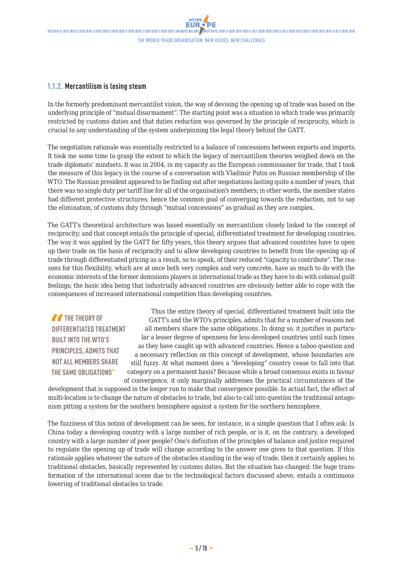### <span id="page-4-0"></span>**1.1.2. Mercantilism is losing steam**

In the formerly predominant mercantilist vision, the way of devising the opening up of trade was based on the underlying principle of "mutual disarmament". The starting point was a situation in which trade was primarily restricted by customs duties and that duties reduction was governed by the principle of reciprocity, which is crucial to any understanding of the system underpinning the legal theory behind the GATT.

The negotiation rationale was essentially restricted to a balance of concessions between exports and imports. It took me some time to grasp the extent to which the legacy of mercantilism theories weighed down on the trade diplomats' mindsets. It was in 2004, in my capacity as the European commissioner for trade, that I took the measure of this legacy in the course of a conversation with Vladimir Putin on Russian membership of the WTO. The Russian president appeared to be finding out after negotiations lasting quite a number of years, that there was no single duty per tariff line for all of the organisation's members; in other words, the member states had different protective structures; hence the common goal of converging towards the reduction, not to say the elimination, of customs duty through "mutual concessions" as gradual as they are complex.

The GATT's theoretical architecture was based essentially on mercantilism closely linked to the concept of reciprocity; and that concept entails the principle of special, differentiated treatment for developing countries. The way it was applied by the GATT for fifty years, this theory argues that advanced countries have to open up their trade on the basis of reciprocity and to allow developing countries to benefit from the opening up of trade through differentiated pricing as a result, so to speak, of their reduced "capacity to contribute". The reasons for this flexibility, which are at once both very complex and very concrete, have as much to do with the economic interests of the former dominions players in international trade as they have to do with colonial guilt feelings; the basic idea being that industrially advanced countries are obviously better able to cope with the consequences of increased international competition than developing countries.

**THE THEORY OF DIFFERENTIATED TREATMENT BUILT INTO THE WTO'S PRINCIPLES, ADMITS THAT NOT ALL MEMBERS SHARE THE SAME OBLIGATIONS"**

Thus the entire theory of special, differentiated treatment built into the GATT's and the WTO's principles, admits that for a number of reasons not all members share the same obligations. In doing so, it justifies in particular a lesser degree of openness for less developed countries until such times as they have caught up with advanced countries. Hence a taboo question and a necessary reflection on this concept of development, whose boundaries are still fuzzy. At what moment does a "developing" country cease to fall into that category on a permanent basis? Because while a broad consensus exists in favour of convergence, it only marginally addresses the practical circumstances of the

development that is supposed in the longer run to make that convergence possible. In actual fact, the effect of multi-location is to change the nature of obstacles to trade, but also to call into question the traditional antagonism pitting a system for the southern hemisphere against a system for the northern hemisphere.

The fuzziness of this notion of development can be seen, for instance, in a simple question that I often ask: Is China today a developing country with a large number of rich people, or is it, on the contrary, a developed country with a large number of poor people? One's definition of the principles of balance and justice required to regulate the opening up of trade will change according to the answer one gives to that question. If this rationale applies whatever the nature of the obstacles standing in the way of trade, then it certainly applies to traditional obstacles, basically represented by customs duties. But the situation has changed: the huge transformation of the international scene due to the technological factors discussed above, entails a continuous lowering of traditional obstacles to trade.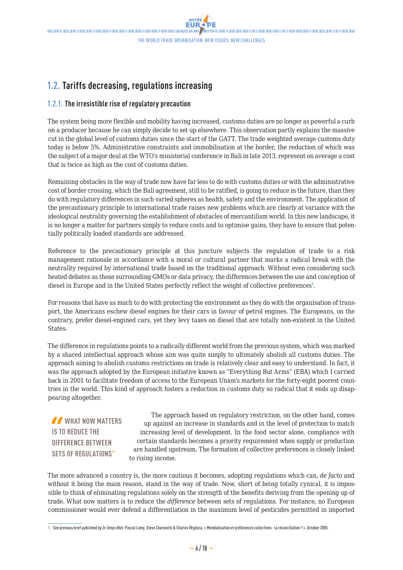## <span id="page-5-0"></span>**1.2. Tariffs decreasing, regulations increasing**

## **1.2.1. The irresistible rise of regulatory precaution**

The system being more flexible and mobility having increased, customs duties are no longer as powerful a curb on a producer because he can simply decide to set up elsewhere. This observation partly explains the massive cut in the global level of customs duties since the start of the GATT. The trade weighted average customs duty today is below 5%. Administrative constraints and immobilisation at the border, the reduction of which was the subject of a major deal at the WTO's ministerial conference in Bali in late 2013, represent on average a cost that is twice as high as the cost of customs duties.

Remaining obstacles in the way of trade now have far less to do with customs duties or with the administrative cost of border crossing, which the Bali agreement, still to be ratified, is going to reduce in the future, than they do with regulatory differences in such varied spheres as health, safety and the environment. The application of the precautionary principle to international trade raises new problems which are clearly at variance with the ideological neutrality governing the establishment of obstacles of mercantilism world. In this new landscape, it is no longer a matter for partners simply to reduce costs and to optimise gains, they have to ensure that potentially politically loaded standards are addressed.

Reference to the precautionary principle at this juncture subjects the regulation of trade to a risk management rationale in accordance with a moral or cultural partner that marks a radical break with the neutrality required by international trade based on the traditional approach. Without even considering such heated debates as those surrounding GMOs or data privacy, the differences between the use and conception of diesel in Europe and in the United States perfectly reflect the weight of collective preferences<sup>1</sup>.

For reasons that have as much to do with protecting the environment as they do with the organisation of transport, the Americans eschew diesel engines for their cars in favour of petrol engines. The Europeans, on the contrary, prefer diesel-engined cars, yet they levy taxes on diesel that are totally non-existent in the United States.

The difference in regulations points to a radically different world from the previous system, which was marked by a shared intellectual approach whose aim was quite simply to ultimately abolish all customs duties. The approach aiming to abolish customs restrictions on trade is relatively clear and easy to understand. In fact, it was the approach adopted by the European initiative known as "Everything But Arms" (EBA) which I carried back in 2001 to facilitate freedom of access to the European Union's markets for the forty-eight poorest countries in the world. This kind of approach fosters a reduction in customs duty so radical that it ends up disappearing altogether.

*M* WHAT NOW MATTERS **IS TO REDUCE THE DIFFERENCE BETWEEN SETS OF REGULATIONS"**

The approach based on regulatory restriction, on the other hand, comes up against an increase in standards and in the level of protection to match increasing level of development. In the food sector alone, compliance with certain standards becomes a priority requirement when supply or production are handled upstream. The formation of collective preferences is closely linked to rising income.

The more advanced a country is, the more cautious it becomes, adopting regulations which can, *de facto* and without it being the main reason, stand in the way of trade. Now, short of being totally cynical, it is impossible to think of eliminating regulations solely on the strength of the benefits deriving from the opening up of trade. What now matters is to reduce the *difference* between sets of regulations. For instance, no European commissioner would ever defend a differentiation in the maximum level of pesticides permitted in imported

**<sup>1.</sup>** See previous brief published by *En Temps Réel*: Pascal Lamy, Steve Charnovitz & Charles Wyplosz, « Mondialisation et préférences collectives : la réconciliation ? », October 2005.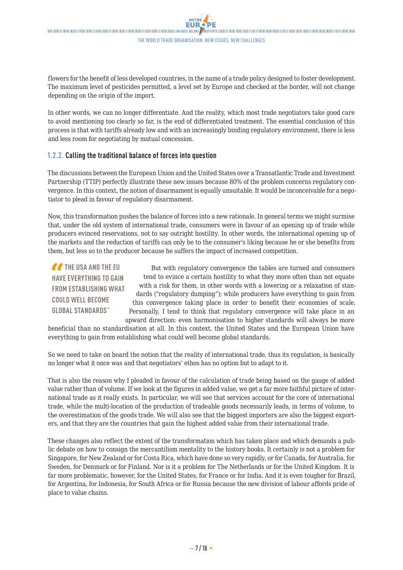<span id="page-6-0"></span>flowers for the benefit of less developed countries, in the name of a trade policy designed to foster development. The maximum level of pesticides permitted, a level set by Europe and checked at the border, will not change depending on the origin of the import.

In other words, we can no longer differentiate. And the reality, which most trade negotiators take good care to avoid mentioning too clearly so far, is the end of differentiated treatment. The essential conclusion of this process is that with tariffs already low and with an increasingly binding regulatory environment, there is less and less room for negotiating by mutual concession.

### **1.2.2. Calling the traditional balance of forces into question**

The discussions between the European Union and the United States over a Transatlantic Trade and Investment Partnership (TTIP) perfectly illustrate these new issues because 80% of the problem concerns regulatory convergence. In this context, the notion of disarmament is equally unsuitable. It would be inconceivable for a negotiator to plead in favour of regulatory disarmament.

Now, this transformation pushes the balance of forces into a new rationale. In general terms we might surmise that, under the old system of international trade, consumers were in favour of an opening up of trade while producers evinced reservations, not to say outright hostility. In other words, the international opening up of the markets and the reduction of tariffs can only be to the consumer's liking because he or she benefits from them, but less so to the producer because he suffers the impact of increased competition.

**THE USA AND THE EU HAVE EVERYTHING TO GAIN FROM ESTABLISHING WHAT COULD WELL BECOME GLOBAL STANDARDS"**

But with regulatory convergence the tables are turned and consumers tend to evince a certain hostility to what they more often than not equate with a risk for them, in other words with a lowering or a relaxation of standards ("regulatory dumping"); while producers have everything to gain from this convergence taking place in order to benefit their economies of scale. Personally, I tend to think that regulatory convergence will take place in an upward direction: even harmonisation to higher standards will always be more

beneficial than no standardisation at all. In this context, the United States and the European Union have everything to gain from establishing what could well become global standards.

So we need to take on board the notion that the reality of international trade, thus its regulation, is basically no longer what it once was and that negotiators' ethos has no option but to adapt to it.

That is also the reason why I pleaded in favour of the calculation of trade being based on the gauge of added value rather than of volume. If we look at the figures in added value, we get a far more faithful picture of international trade as it really exists. In particular, we will see that services account for the core of international trade, while the multi-location of the production of tradeable goods necessarily leads, in terms of volume, to the overestimation of the goods trade. We will also see that the biggest importers are also the biggest exporters, and that they are the countries that gain the highest added value from their international trade.

These changes also reflect the extent of the transformation which has taken place and which demands a public debate on how to consign the mercantilism mentality to the history books. It certainly is not a problem for Singapore, for New Zealand or for Costa Rica, which have done so very rapidly, or for Canada, for Australia, for Sweden, for Denmark or for Finland. Nor is it a problem for The Netherlands or for the United Kingdom. It is far more problematic, however, for the United States, for France or for India. And it is even tougher for Brazil, for Argentina, for Indonesia, for South Africa or for Russia because the new division of labour affords pride of place to value chains.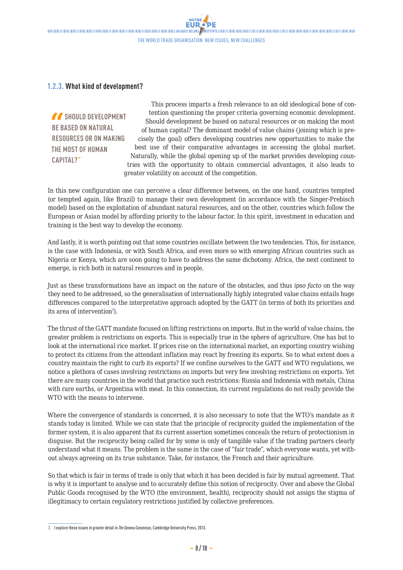### <span id="page-7-0"></span>**1.2.3. What kind of development?**

*<u>A</u>* SHOULD DEVELOPMENT **BE BASED ON NATURAL RESOURCES OR ON MAKING THE MOST OF HUMAN CAPITAL?"**

This process imparts a fresh relevance to an old ideological bone of contention questioning the proper criteria governing economic development. Should development be based on natural resources or on making the most of human capital? The dominant model of value chains (joining which is precisely the goal) offers developing countries new opportunities to make the best use of their comparative advantages in accessing the global market. Naturally, while the global opening up of the market provides developing countries with the opportunity to obtain commercial advantages, it also leads to greater volatility on account of the competition.

In this new configuration one can perceive a clear difference between, on the one hand, countries tempted (or tempted again, like Brazil) to manage their own development (in accordance with the Singer-Prebisch model) based on the exploitation of abundant natural resources, and on the other, countries which follow the European or Asian model by affording priority to the labour factor. In this spirit, investment in education and training is the best way to develop the economy.

And lastly, it is worth pointing out that some countries oscillate between the two tendencies. This, for instance, is the case with Indonesia, or with South Africa, and even more so with emerging African countries such as Nigeria or Kenya, which are soon going to have to address the same dichotomy. Africa, the next continent to emerge, is rich both in natural resources and in people.

Just as these transformations have an impact on the nature of the obstacles, and thus *ipso facto* on the way they need to be addressed, so the generalisation of internationally highly integrated value chains entails huge differences compared to the interpretative approach adopted by the GATT (in terms of both its priorities and its area of intervention<sup>2</sup>).

The thrust of the GATT mandate focused on lifting restrictions on imports. But in the world of value chains, the greater problem is restrictions on exports. This is especially true in the sphere of agriculture. One has but to look at the international rice market. If prices rise on the international market, an exporting country wishing to protect its citizens from the attendant inflation may react by freezing its exports. So to what extent does a country maintain the right to curb its exports? If we confine ourselves to the GATT and WTO regulations, we notice a plethora of cases involving restrictions on imports but very few involving restrictions on exports. Yet there are many countries in the world that practice such restrictions: Russia and Indonesia with metals, China with rare earths, or Argentina with meat. In this connection, its current regulations do not really provide the WTO with the means to intervene.

Where the convergence of standards is concerned, it is also necessary to note that the WTO's mandate as it stands today is limited. While we can state that the principle of reciprocity guided the implementation of the former system, it is also apparent that its current assertion sometimes conceals the return of protectionism in disguise. But the reciprocity being called for by some is only of tangible value if the trading partners clearly understand what it means. The problem is the same in the case of "fair trade", which everyone wants, yet without always agreeing on its true substance. Take, for instance, the French and their agriculture.

So that which is fair in terms of trade is only that which it has been decided is fair by mutual agreement. That is why it is important to analyse and to accurately define this notion of reciprocity. Over and above the Global Public Goods recognised by the WTO (the environment, health), reciprocity should not assign the stigma of illegitimacy to certain regulatory restrictions justified by collective preferences.

**<sup>2.</sup>** I explore these issues in greater detail in *The Geneva Consensus*, Cambridge University Press, 2013.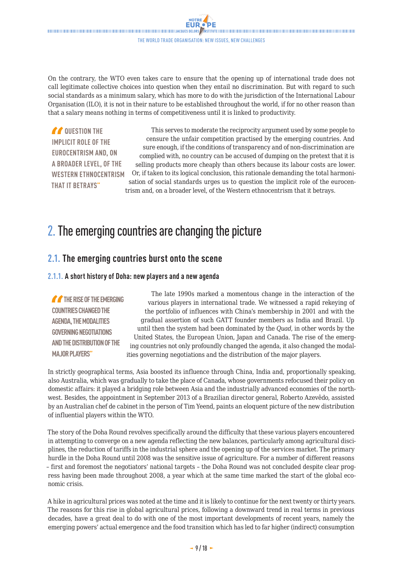<span id="page-8-0"></span>On the contrary, the WTO even takes care to ensure that the opening up of international trade does not call legitimate collective choices into question when they entail no discrimination. But with regard to such social standards as a minimum salary, which has more to do with the jurisdiction of the International Labour Organisation (ILO), it is not in their nature to be established throughout the world, if for no other reason than that a salary means nothing in terms of competitiveness until it is linked to productivity.

*CC* OUESTION THE **IMPLICIT ROLE OF THE EUROCENTRISM AND, ON A BROADER LEVEL, OF THE WESTERN ETHNOCENTRISM THAT IT BETRAYS"**

This serves to moderate the reciprocity argument used by some people to censure the unfair competition practised by the emerging countries. And sure enough, if the conditions of transparency and of non-discrimination are complied with, no country can be accused of dumping on the pretext that it is selling products more cheaply than others because its labour costs are lower. Or, if taken to its logical conclusion, this rationale demanding the total harmonisation of social standards urges us to question the implicit role of the eurocentrism and, on a broader level, of the Western ethnocentrism that it betrays.

# 2. The emerging countries are changing the picture

## **2.1. The emerging countries burst onto the scene**

## **2.1.1. A short history of Doha: new players and a new agenda**

**THE RISE OF THE EMERGING COUNTRIES CHANGED THE AGENDA, THE MODALITIES GOVERNING NEGOTIATIONS AND THE DISTRIBUTION OF THE MAJOR PLAYERS"**

The late 1990s marked a momentous change in the interaction of the various players in international trade. We witnessed a rapid rekeying of the portfolio of influences with China's membership in 2001 and with the gradual assertion of such GATT founder members as India and Brazil. Up until then the system had been dominated by the *Quad*, in other words by the United States, the European Union, Japan and Canada. The rise of the emerging countries not only profoundly changed the agenda, it also changed the modalities governing negotiations and the distribution of the major players.

In strictly geographical terms, Asia boosted its influence through China, India and, proportionally speaking, also Australia, which was gradually to take the place of Canada, whose governments refocused their policy on domestic affairs: it played a bridging role between Asia and the industrially advanced economies of the northwest. Besides, the appointment in September 2013 of a Brazilian director general, Roberto Azevêdo, assisted by an Australian chef de cabinet in the person of Tim Yeend, paints an eloquent picture of the new distribution of influential players within the WTO.

The story of the Doha Round revolves specifically around the difficulty that these various players encountered in attempting to converge on a new agenda reflecting the new balances, particularly among agricultural disciplines, the reduction of tariffs in the industrial sphere and the opening up of the services market. The primary hurdle in the Doha Round until 2008 was the sensitive issue of agriculture. For a number of different reasons – first and foremost the negotiators' national targets – the Doha Round was not concluded despite clear progress having been made throughout 2008, a year which at the same time marked the start of the global economic crisis.

A hike in agricultural prices was noted at the time and it is likely to continue for the next twenty or thirty years. The reasons for this rise in global agricultural prices, following a downward trend in real terms in previous decades, have a great deal to do with one of the most important developments of recent years, namely the emerging powers' actual emergence and the food transition which has led to far higher (indirect) consumption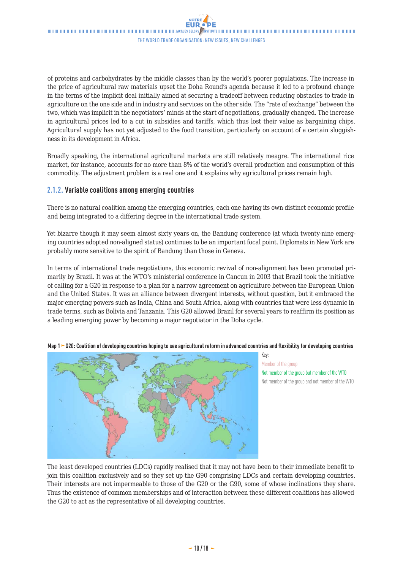<span id="page-9-0"></span>of proteins and carbohydrates by the middle classes than by the world's poorer populations. The increase in the price of agricultural raw materials upset the Doha Round's agenda because it led to a profound change in the terms of the implicit deal initially aimed at securing a tradeoff between reducing obstacles to trade in agriculture on the one side and in industry and services on the other side. The "rate of exchange" between the two, which was implicit in the negotiators' minds at the start of negotiations, gradually changed. The increase in agricultural prices led to a cut in subsidies and tariffs, which thus lost their value as bargaining chips. Agricultural supply has not yet adjusted to the food transition, particularly on account of a certain sluggishness in its development in Africa.

Broadly speaking, the international agricultural markets are still relatively meagre. The international rice market, for instance, accounts for no more than 8% of the world's overall production and consumption of this commodity. The adjustment problem is a real one and it explains why agricultural prices remain high.

#### **2.1.2. Variable coalitions among emerging countries**

There is no natural coalition among the emerging countries, each one having its own distinct economic profile and being integrated to a differing degree in the international trade system.

Yet bizarre though it may seem almost sixty years on, the Bandung conference (at which twenty-nine emerging countries adopted non-aligned status) continues to be an important focal point. Diplomats in New York are probably more sensitive to the spirit of Bandung than those in Geneva.

In terms of international trade negotiations, this economic revival of non-alignment has been promoted primarily by Brazil. It was at the WTO's ministerial conference in Cancun in 2003 that Brazil took the initiative of calling for a G20 in response to a plan for a narrow agreement on agriculture between the European Union and the United States. It was an alliance between divergent interests, without question, but it embraced the major emerging powers such as India, China and South Africa, along with countries that were less dynamic in trade terms, such as Bolivia and Tanzania. This G20 allowed Brazil for several years to reaffirm its position as a leading emerging power by becoming a major negotiator in the Doha cycle.



**Map 1 G20: Coalition of developing countries hoping to see agricultural reform in advanced countries and flexibility for developing countries** 

Member of the group Not member of the group but member of the WTO Not member of the group and not member of the WTO

Key:

The least developed countries (LDCs) rapidly realised that it may not have been to their immediate benefit to join this coalition exclusively and so they set up the G90 comprising LDCs and certain developing countries. Their interests are not impermeable to those of the G20 or the G90, some of whose inclinations they share. Thus the existence of common memberships and of interaction between these different coalitions has allowed the G20 to act as the representative of all developing countries.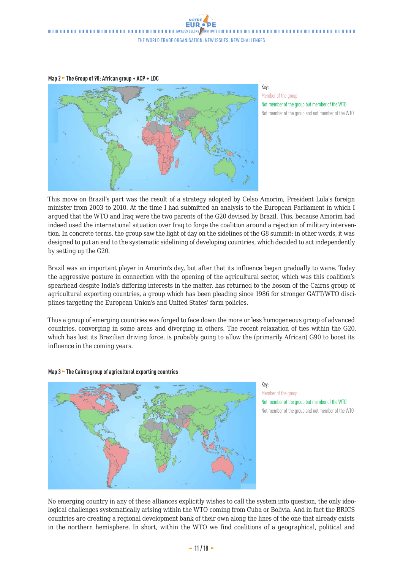$\frac{1}{2} \frac{1}{2} \left( \frac{1}{2} \left( \frac{1}{2} \left( \frac{1}{2} \left( \frac{1}{2} \left( \frac{1}{2} \left( \frac{1}{2} \left( \frac{1}{2} \left( \frac{1}{2} \left( \frac{1}{2} \left( \frac{1}{2} \left( \frac{1}{2} \left( \frac{1}{2} \left( \frac{1}{2} \left( \frac{1}{2} \left( \frac{1}{2} \left( \frac{1}{2} \right) \right) \right) \right) \right) \right) \right) \right) \right) \right) \left( \frac{1}{2} \left( \frac{$ THE WORLD TRADE ORGANISATION: NEW ISSUES, NEW CHALLENGES

**Map 2 The Group of 90: African group + ACP + LDC** 

Key: Member of the group Not member of the group but member of the WTO Not member of the group and not member of the WTO

This move on Brazil's part was the result of a strategy adopted by Celso Amorim, President Lula's foreign minister from 2003 to 2010. At the time I had submitted an analysis to the European Parliament in which I argued that the WTO and Iraq were the two parents of the G20 devised by Brazil. This, because Amorim had indeed used the international situation over Iraq to forge the coalition around a rejection of military intervention. In concrete terms, the group saw the light of day on the sidelines of the G8 summit; in other words, it was designed to put an end to the systematic sidelining of developing countries, which decided to act independently by setting up the G20.

Brazil was an important player in Amorim's day, but after that its influence began gradually to wane. Today the aggressive posture in connection with the opening of the agricultural sector, which was this coalition's spearhead despite India's differing interests in the matter, has returned to the bosom of the Cairns group of agricultural exporting countries, a group which has been pleading since 1986 for stronger GATT/WTO disciplines targeting the European Union's and United States' farm policies.

Thus a group of emerging countries was forged to face down the more or less homogeneous group of advanced countries, converging in some areas and diverging in others. The recent relaxation of ties within the G20, which has lost its Brazilian driving force, is probably going to allow the (primarily African) G90 to boost its influence in the coming years.



#### **Map 3 The Cairns group of agricultural exporting countries**

Key: Member of the group Not member of the group but member of the WTO Not member of the group and not member of the WTO

No emerging country in any of these alliances explicitly wishes to call the system into question, the only ideological challenges systematically arising within the WTO coming from Cuba or Bolivia. And in fact the BRICS countries are creating a regional development bank of their own along the lines of the one that already exists in the northern hemisphere. In short, within the WTO we find coalitions of a geographical, political and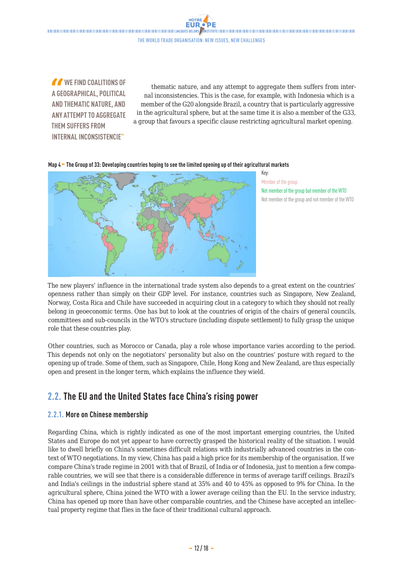<span id="page-11-0"></span>*M* WE FIND COALITIONS OF **A GEOGRAPHICAL, POLITICAL AND THEMATIC NATURE, AND ANY ATTEMPT TO AGGREGATE THEM SUFFERS FROM INTERNAL INCONSISTENCIE"**

thematic nature, and any attempt to aggregate them suffers from internal inconsistencies. This is the case, for example, with Indonesia which is a member of the G20 alongside Brazil, a country that is particularly aggressive in the agricultural sphere, but at the same time it is also a member of the G33, a group that favours a specific clause restricting agricultural market opening.

Key:

#### **Map 4 The Group of 33: Developing countries hoping to see the limited opening up of their agricultural markets**



Member of the group Not member of the group but member of the WTO Not member of the group and not member of the WTO

The new players' influence in the international trade system also depends to a great extent on the countries' openness rather than simply on their GDP level. For instance, countries such as Singapore, New Zealand, Norway, Costa Rica and Chile have succeeded in acquiring clout in a category to which they should not really belong in geoeconomic terms. One has but to look at the countries of origin of the chairs of general councils, committees and sub-councils in the WTO's structure (including dispute settlement) to fully grasp the unique role that these countries play.

Other countries, such as Morocco or Canada, play a role whose importance varies according to the period. This depends not only on the negotiators' personality but also on the countries' posture with regard to the opening up of trade. Some of them, such as Singapore, Chile, Hong Kong and New Zealand, are thus especially open and present in the longer term, which explains the influence they wield.

## **2.2. The EU and the United States face China's rising power**

## **2.2.1. More on Chinese membership**

Regarding China, which is rightly indicated as one of the most important emerging countries, the United States and Europe do not yet appear to have correctly grasped the historical reality of the situation. I would like to dwell briefly on China's sometimes difficult relations with industrially advanced countries in the context of WTO negotiations. In my view, China has paid a high price for its membership of the organisation. If we compare China's trade regime in 2001 with that of Brazil, of India or of Indonesia, just to mention a few comparable countries, we will see that there is a considerable difference in terms of average tariff ceilings. Brazil's and India's ceilings in the industrial sphere stand at 35% and 40 to 45% as opposed to 9% for China. In the agricultural sphere, China joined the WTO with a lower average ceiling than the EU. In the service industry, China has opened up more than have other comparable countries, and the Chinese have accepted an intellectual property regime that flies in the face of their traditional cultural approach.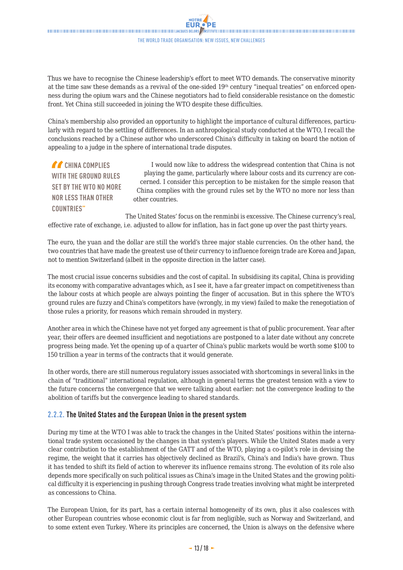<span id="page-12-0"></span>Thus we have to recognise the Chinese leadership's effort to meet WTO demands. The conservative minority at the time saw these demands as a revival of the one-sided 19<sup>th</sup> century "inequal treaties" on enforced openness during the opium wars and the Chinese negotiators had to field considerable resistance on the domestic front. Yet China still succeeded in joining the WTO despite these difficulties.

China's membership also provided an opportunity to highlight the importance of cultural differences, particularly with regard to the settling of differences. In an anthropological study conducted at the WTO, I recall the conclusions reached by a Chinese author who underscored China's difficulty in taking on board the notion of appealing to a judge in the sphere of international trade disputes.

*CHINA COMPLIES* **WITH THE GROUND RULES SET BY THE WTO NO MORE NOR LESS THAN OTHER COUNTRIES"**

I would now like to address the widespread contention that China is not playing the game, particularly where labour costs and its currency are concerned. I consider this perception to be mistaken for the simple reason that China complies with the ground rules set by the WTO no more nor less than other countries.

The United States' focus on the renminbi is excessive. The Chinese currency's real, effective rate of exchange, i.e. adjusted to allow for inflation, has in fact gone up over the past thirty years.

The euro, the yuan and the dollar are still the world's three major stable currencies. On the other hand, the two countries that have made the greatest use of their currency to influence foreign trade are Korea and Japan, not to mention Switzerland (albeit in the opposite direction in the latter case).

The most crucial issue concerns subsidies and the cost of capital. In subsidising its capital, China is providing its economy with comparative advantages which, as I see it, have a far greater impact on competitiveness than the labour costs at which people are always pointing the finger of accusation. But in this sphere the WTO's ground rules are fuzzy and China's competitors have (wrongly, in my view) failed to make the renegotiation of those rules a priority, for reasons which remain shrouded in mystery.

Another area in which the Chinese have not yet forged any agreement is that of public procurement. Year after year, their offers are deemed insufficient and negotiations are postponed to a later date without any concrete progress being made. Yet the opening up of a quarter of China's public markets would be worth some \$100 to 150 trillion a year in terms of the contracts that it would generate.

In other words, there are still numerous regulatory issues associated with shortcomings in several links in the chain of "traditional" international regulation, although in general terms the greatest tension with a view to the future concerns the convergence that we were talking about earlier: not the convergence leading to the abolition of tariffs but the convergence leading to shared standards.

#### **2.2.2. The United States and the European Union in the present system**

During my time at the WTO I was able to track the changes in the United States' positions within the international trade system occasioned by the changes in that system's players. While the United States made a very clear contribution to the establishment of the GATT and of the WTO, playing a co-pilot's role in devising the regime, the weight that it carries has objectively declined as Brazil's, China's and India's have grown. Thus it has tended to shift its field of action to wherever its influence remains strong. The evolution of its role also depends more specifically on such political issues as China's image in the United States and the growing political difficulty it is experiencing in pushing through Congress trade treaties involving what might be interpreted as concessions to China.

The European Union, for its part, has a certain internal homogeneity of its own, plus it also coalesces with other European countries whose economic clout is far from negligible, such as Norway and Switzerland, and to some extent even Turkey. Where its principles are concerned, the Union is always on the defensive where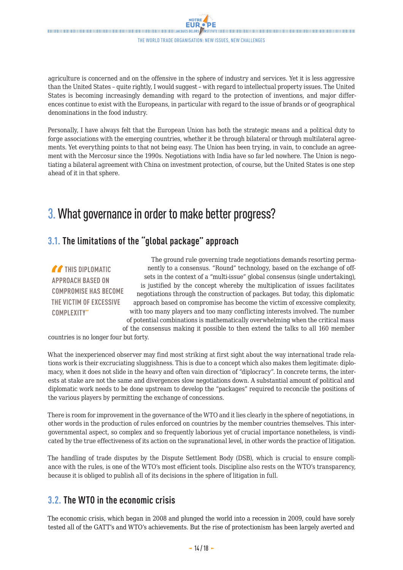<span id="page-13-0"></span>agriculture is concerned and on the offensive in the sphere of industry and services. Yet it is less aggressive than the United States – quite rightly, I would suggest – with regard to intellectual property issues. The United States is becoming increasingly demanding with regard to the protection of inventions, and major differences continue to exist with the Europeans, in particular with regard to the issue of brands or of geographical denominations in the food industry.

Personally, I have always felt that the European Union has both the strategic means and a political duty to forge associations with the emerging countries, whether it be through bilateral or through multilateral agreements. Yet everything points to that not being easy. The Union has been trying, in vain, to conclude an agreement with the Mercosur since the 1990s. Negotiations with India have so far led nowhere. The Union is negotiating a bilateral agreement with China on investment protection, of course, but the United States is one step ahead of it in that sphere.

# 3. What governance in order to make better progress?

## **3.1. The limitations of the "global package" approach**

**THIS DIPLOMATIC APPROACH BASED ON COMPROMISE HAS BECOME THE VICTIM OF EXCESSIVE COMPLEXITY"**

The ground rule governing trade negotiations demands resorting permanently to a consensus. "Round" technology, based on the exchange of offsets in the context of a "multi-issue" global consensus (single undertaking), is justified by the concept whereby the multiplication of issues facilitates negotiations through the construction of packages. But today, this diplomatic approach based on compromise has become the victim of excessive complexity, with too many players and too many conflicting interests involved. The number of potential combinations is mathematically overwhelming when the critical mass of the consensus making it possible to then extend the talks to all 160 member

countries is no longer four but forty.

What the inexperienced observer may find most striking at first sight about the way international trade relations work is their excruciating sluggishness. This is due to a concept which also makes them legitimate: diplomacy, when it does not slide in the heavy and often vain direction of "diplocracy". In concrete terms, the interests at stake are not the same and divergences slow negotiations down. A substantial amount of political and diplomatic work needs to be done upstream to develop the "packages" required to reconcile the positions of the various players by permitting the exchange of concessions.

There is room for improvement in the governance of the WTO and it lies clearly in the sphere of negotiations, in other words in the production of rules enforced on countries by the member countries themselves. This intergovernmental aspect, so complex and so frequently laborious yet of crucial importance nonetheless, is vindicated by the true effectiveness of its action on the supranational level, in other words the practice of litigation.

The handling of trade disputes by the Dispute Settlement Body (DSB), which is crucial to ensure compliance with the rules, is one of the WTO's most efficient tools. Discipline also rests on the WTO's transparency, because it is obliged to publish all of its decisions in the sphere of litigation in full.

## **3.2. The WTO in the economic crisis**

The economic crisis, which began in 2008 and plunged the world into a recession in 2009, could have sorely tested all of the GATT's and WTO's achievements. But the rise of protectionism has been largely averted and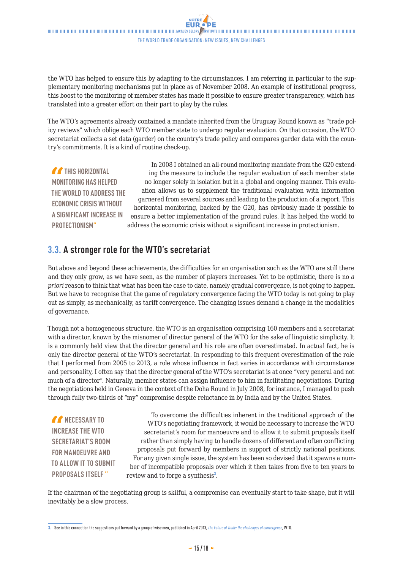<span id="page-14-0"></span>the WTO has helped to ensure this by adapting to the circumstances. I am referring in particular to the supplementary monitoring mechanisms put in place as of November 2008. An example of institutional progress, this boost to the monitoring of member states has made it possible to ensure greater transparency, which has translated into a greater effort on their part to play by the rules.

The WTO's agreements already contained a mandate inherited from the Uruguay Round known as "trade policy reviews" which oblige each WTO member state to undergo regular evaluation. On that occasion, the WTO secretariat collects a set data (garder) on the country's trade policy and compares garder data with the country's commitments. It is a kind of routine check-up.

*THIS HORIZONTAL* **MONITORING HAS HELPED THE WORLD TO ADDRESS THE ECONOMIC CRISIS WITHOUT A SIGNIFICANT INCREASE IN PROTECTIONISM"**

In 2008 I obtained an all-round monitoring mandate from the G20 extending the measure to include the regular evaluation of each member state no longer solely in isolation but in a global and ongoing manner. This evaluation allows us to supplement the traditional evaluation with information garnered from several sources and leading to the production of a report. This horizontal monitoring, backed by the G20, has obviously made it possible to ensure a better implementation of the ground rules. It has helped the world to address the economic crisis without a significant increase in protectionism.

## **3.3. A stronger role for the WTO's secretariat**

But above and beyond these achievements, the difficulties for an organisation such as the WTO are still there and they only grow, as we have seen, as the number of players increases. Yet to be optimistic, there is no *a priori* reason to think that what has been the case to date, namely gradual convergence, is not going to happen. But we have to recognise that the game of regulatory convergence facing the WTO today is not going to play out as simply, as mechanically, as tariff convergence. The changing issues demand a change in the modalities of governance.

Though not a homogeneous structure, the WTO is an organisation comprising 160 members and a secretariat with a director, known by the misnomer of director general of the WTO for the sake of linguistic simplicity. It is a commonly held view that the director general and his role are often overestimated. In actual fact, he is only the director general of the WTO's secretariat. In responding to this frequent overestimation of the role that I performed from 2005 to 2013, a role whose influence in fact varies in accordance with circumstance and personality, I often say that the director general of the WTO's secretariat is at once "very general and not much of a director". Naturally, member states can assign influence to him in facilitating negotiations. During the negotiations held in Geneva in the context of the Doha Round in July 2008, for instance, I managed to push through fully two-thirds of "my" compromise despite reluctance in by India and by the United States.

*M* NECESSARY TO **INCREASE THE WTO SECRETARIAT'S ROOM FOR MANOEUVRE AND TO ALLOW IT TO SUBMIT PROPOSALS ITSELF "**

To overcome the difficulties inherent in the traditional approach of the WTO's negotiating framework, it would be necessary to increase the WTO secretariat's room for manoeuvre and to allow it to submit proposals itself rather than simply having to handle dozens of different and often conflicting proposals put forward by members in support of strictly national positions. For any given single issue, the system has been so devised that it spawns a number of incompatible proposals over which it then takes from five to ten years to review and to forge a synthesis<sup>3</sup>.

If the chairman of the negotiating group is skilful, a compromise can eventually start to take shape, but it will inevitably be a slow process.

**<sup>3.</sup>** See in this connection the suggestions put forward by a group of wise men, published in April 2013, *[The Future of Trade: the challenges of convergence](http://www.wto.org/english/thewto_e/dg_e/dft_panel_e/future_of_trade_report_e.pdf)*, WTO.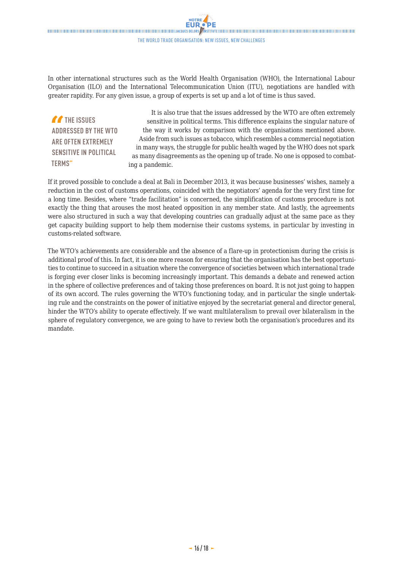In other international structures such as the World Health Organisation (WHO), the International Labour Organisation (ILO) and the International Telecommunication Union (ITU), negotiations are handled with greater rapidity. For any given issue, a group of experts is set up and a lot of time is thus saved.

**THE ISSUES ADDRESSED BY THE WTO ARE OFTEN EXTREMELY SENSITIVE IN POLITICAL TERMS"**

It is also true that the issues addressed by the WTO are often extremely sensitive in political terms. This difference explains the singular nature of the way it works by comparison with the organisations mentioned above. Aside from such issues as tobacco, which resembles a commercial negotiation in many ways, the struggle for public health waged by the WHO does not spark as many disagreements as the opening up of trade. No one is opposed to combating a pandemic.

If it proved possible to conclude a deal at Bali in December 2013, it was because businesses' wishes, namely a reduction in the cost of customs operations, coincided with the negotiators' agenda for the very first time for a long time. Besides, where "trade facilitation" is concerned, the simplification of customs procedure is not exactly the thing that arouses the most heated opposition in any member state. And lastly, the agreements were also structured in such a way that developing countries can gradually adjust at the same pace as they get capacity building support to help them modernise their customs systems, in particular by investing in customs-related software.

The WTO's achievements are considerable and the absence of a flare-up in protectionism during the crisis is additional proof of this. In fact, it is one more reason for ensuring that the organisation has the best opportunities to continue to succeed in a situation where the convergence of societies between which international trade is forging ever closer links is becoming increasingly important. This demands a debate and renewed action in the sphere of collective preferences and of taking those preferences on board. It is not just going to happen of its own accord. The rules governing the WTO's functioning today, and in particular the single undertaking rule and the constraints on the power of initiative enjoyed by the secretariat general and director general, hinder the WTO's ability to operate effectively. If we want multilateralism to prevail over bilateralism in the sphere of regulatory convergence, we are going to have to review both the organisation's procedures and its mandate.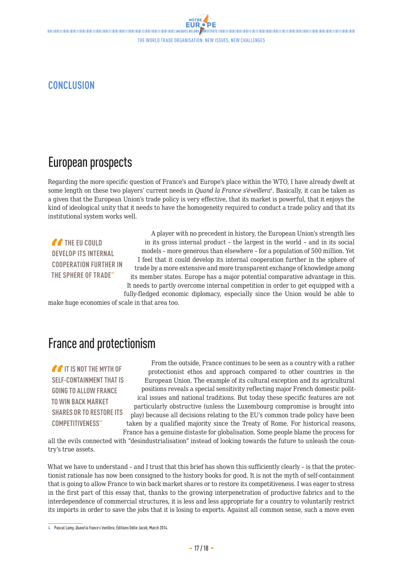THE WORLD TRADE ORGANISATION: NEW ISSUES, NEW CHALLENGES

# <span id="page-16-0"></span>**CONCLUSION**

# European prospects

Regarding the more specific question of France's and Europe's place within the WTO, I have already dwelt at some length on these two players' current needs in *Quand la France s'éveillera<sup>t</sup>*. Basically, it can be taken as a given that the European Union's trade policy is very effective, that its market is powerful, that it enjoys the kind of ideological unity that it needs to have the homogeneity required to conduct a trade policy and that its institutional system works well.

*THE EU COULD* **DEVELOP ITS INTERNAL COOPERATION FURTHER IN THE SPHERE OF TRADE"**

A player with no precedent in history, the European Union's strength lies in its gross internal product – the largest in the world – and in its social models – more generous than elsewhere – for a population of 500 million. Yet I feel that it could develop its internal cooperation further in the sphere of trade by a more extensive and more transparent exchange of knowledge among its member states. Europe has a major potential comparative advantage in this. It needs to partly overcome internal competition in order to get equipped with a

fully-fledged economic diplomacy, especially since the Union would be able to make huge economies of scale in that area too.

# France and protectionism

*If* IT IS NOT THE MYTH OF **SELF-CONTAINMENT THAT IS GOING TO ALLOW FRANCE TO WIN BACK MARKET SHARES OR TO RESTORE ITS COMPETITIVENESS"**

From the outside, France continues to be seen as a country with a rather protectionist ethos and approach compared to other countries in the European Union. The example of its cultural exception and its agricultural positions reveals a special sensitivity reflecting major French domestic political issues and national traditions. But today these specific features are not particularly obstructive (unless the Luxembourg compromise is brought into play) because all decisions relating to the EU's common trade policy have been taken by a qualified majority since the Treaty of Rome. For historical reasons, France has a genuine distaste for globalisation. Some people blame the process for

all the evils connected with "desindustrialisation" instead of looking towards the future to unleash the country's true assets.

What we have to understand - and I trust that this brief has shown this sufficiently clearly - is that the protectionist rationale has now been consigned to the history books for good. It is not the myth of self-containment that is going to allow France to win back market shares or to restore its competitiveness. I was eager to stress in the first part of this essay that, thanks to the growing interpenetration of productive fabrics and to the interdependence of commercial structures, it is less and less appropriate for a country to voluntarily restrict its imports in order to save the jobs that it is losing to exports. Against all common sense, such a move even

**<sup>4.</sup>** Pascal Lamy, *Quand la France s'éveillera*, Éditions Odile Jacob, March 2014.